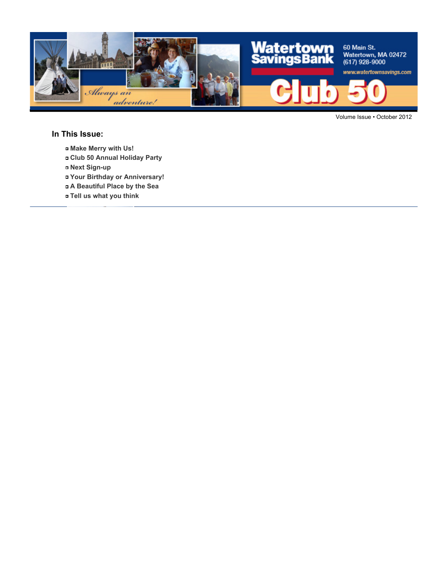

Volume Issue • October 2012

#### **In This Issue:**

- **Make Merry with Us!**
- **Club 50 Annual Holiday Party**
- **Next Sign-up**
- **Your Birthday or Anniversary!**
- **A Beautiful Place by the Sea**
- **Tell us what you think**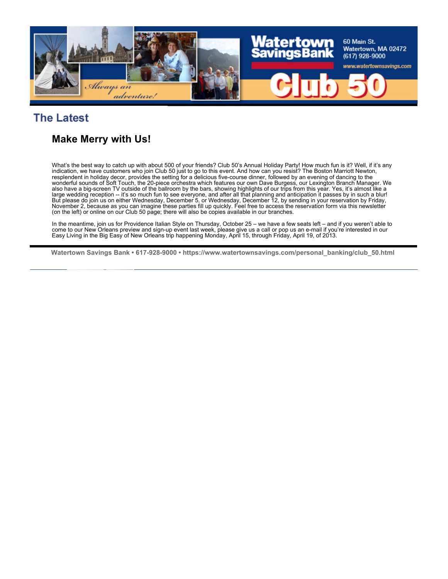

## **The Latest**

## **Make Merry with Us!**

What's the best way to catch up with about 500 of your friends? Club 50's Annual Holiday Party! How much fun is it? Well, if it's any indication, we have customers who join Club 50 just to go to this event. And how can you resist? The Boston Marriott Newton, resplendent in holiday decor, provides the setting for a delicious five-course dinner, followed by an evening of dancing to the wonderful sounds of Soft Touch, the 20-piece orchestra which features our own Dave Burgess, our Lexington Branch Manager. We also have a big-screen TV outside of the ballroom by the bars, showing highlights of our trips from this year. Yes, it's almost like a large wedding reception -- it's so much fun to see everyone, and after all that planning and anticipation it passes by in such a blur! But please do join us on either Wednesday, December 5, or Wednesday, December 12, by sending in your reservation by Friday, November 2, because as you can imagine these parties fill up quickly. Feel free to access the reservation form via this newsletter (on the left) or online on our Club 50 page; there will also be copies available in our branches.

In the meantime, join us for Providence Italian Style on Thursday, October 25 – we have a few seats left – and if you weren't able to come to our New Orleans preview and sign-up event last week, please give us a call or pop us an e-mail if you're interested in our Easy Living in the Big Easy of New Orleans trip happening Monday, April 15, through Friday, April 19, of 2013.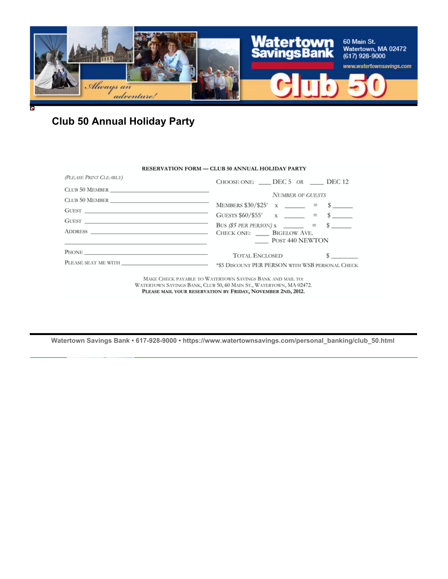

# **Club 50 Annual Holiday Party**

#### RESERVATION FORM - CLUB 50 ANNUAL HOLIDAY PARTY

| (PLEASE PRINT CLEARLY)                                                                                                                                                                                                                                                                                                                                                                                                                     | CHOOSE ONE: $\qquad$ DEC 5 OR DEC 12                                                                                                                         |
|--------------------------------------------------------------------------------------------------------------------------------------------------------------------------------------------------------------------------------------------------------------------------------------------------------------------------------------------------------------------------------------------------------------------------------------------|--------------------------------------------------------------------------------------------------------------------------------------------------------------|
|                                                                                                                                                                                                                                                                                                                                                                                                                                            | <b>NUMBER OF GUESTS</b>                                                                                                                                      |
| $G \texttt{UEST} \textcolor{red}{\overbrace{\texttt{U}} \texttt{EST} \texttt{SUS} \texttt{SUS} \texttt{SUS} \texttt{SUS} \texttt{SUS} \texttt{SUS} \texttt{SUS} \texttt{SUS} \texttt{SUS} \texttt{SUS} \texttt{SUS} \texttt{SUS} \texttt{SUS} \texttt{SUS} \texttt{SUS} \texttt{SUS} \texttt{SUS} \texttt{SUS} \texttt{SUS} \texttt{SUS} \texttt{SUS} \texttt{SUS} \texttt{SUS} \texttt{SUS} \texttt{SUS} \texttt{SUS} \texttt{SUS} \text$ | MEMBERS $$30/\$25$ <sup>*</sup> x ______ = \$<br>GUESTS $$60/$55$ <sup>*</sup> x _____ = \$ ____                                                             |
|                                                                                                                                                                                                                                                                                                                                                                                                                                            | BUS (\$5 PER PERSON) $x \_ \_ \ = \$ \$<br>CHECK ONE: BIGELOW AVE.                                                                                           |
| <u> 1989 - John Stein, Amerikaansk politiker (</u> † 1920)                                                                                                                                                                                                                                                                                                                                                                                 | POST 440 NEWTON                                                                                                                                              |
| PHONE THE CONSTRUCTION OF THE CONSTRUCTION OF THE CONSTRUCTION OF THE CONSTRUCTION OF THE CONSTRUCTION OF THE CONSTRUCTION OF THE CONSTRUCTION OF THE CONSTRUCTION OF THE CONSTRUCTION OF THE CONSTRUCTION OF THE CONSTRUCTION                                                                                                                                                                                                             | $\mathbf{s}$ and $\mathbf{s}$<br><b>TOTAL ENCLOSED</b><br>PLEASE SEAT ME WITH _____________________________ *\$5 DISCOUNT PER PERSON WITH WSB PERSONAL CHECK |
|                                                                                                                                                                                                                                                                                                                                                                                                                                            |                                                                                                                                                              |

MAKE CHECK PAYABLE TO WATERTOWN SAVINGS BANK AND MAIL TO: WATERTOWN SAVINGS BANK, CLUB 50, 60 MAIN ST., WATERTOWN, MA 02472. PLEASE MAIL YOUR RESERVATION BY FRIDAY, NOVEMBER 2ND, 2012.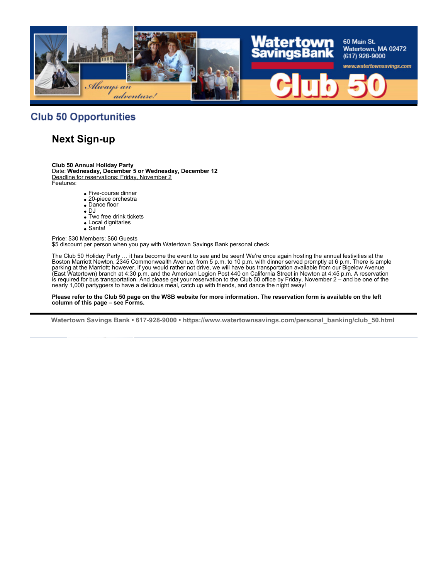

#### **Club 50 Opportunities**

### **Next Sign-up**

**Club 50 Annual Holiday Party**

Date: **Wednesday, December 5 or Wednesday, December 12** Deadline for reservations: Friday, November 2 Features:

- Five-course dinner
- 20-piece orchestra
- Dance floor
- $\bullet$  DJ
- Two free drink tickets
- Local dignitaries • Santa!
- 

Price: \$30 Members; \$60 Guests \$5 discount per person when you pay with Watertown Savings Bank personal check

The Club 50 Holiday Party … it has become the event to see and be seen! We're once again hosting the annual festivities at the Boston Marriott Newton, 2345 Commonwealth Avenue, from 5 p.m. to 10 p.m. with dinner served promptly at 6 p.m. There is ample parking at the Marriott; however, if you would rather not drive, we will have bus transportation available from our Bigelow Avenue (East Watertown) branch at 4:30 p.m. and the American Legion Post 440 on California Street in Newton at 4:45 p.m. A reservation is required for bus transportation. And please get your reservation to the Club 50 office by Friday, November 2 – and be one of the nearly 1,000 partygoers to have a delicious meal, catch up with friends, and dance the night away!

**Please refer to the Club 50 page on the WSB website for more information. The reservation form is available on the left column of this page – see Forms.**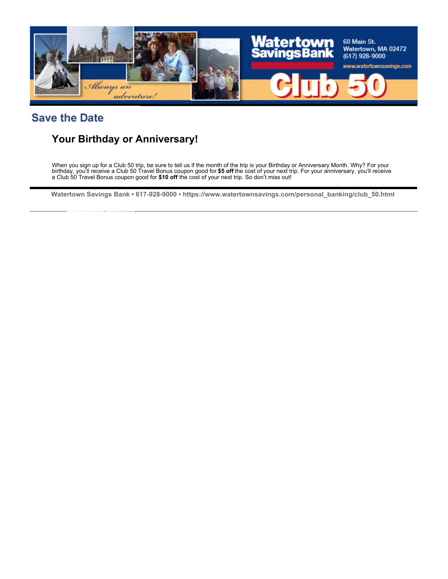

## **Save the Date**

## **Your Birthday or Anniversary!**

When you sign up for a Club 50 trip, be sure to tell us if the month of the trip is your Birthday or Anniversary Month. Why? For your birthday, you'll receive a Club 50 Travel Bonus coupon good for **\$5 off** the cost of your next trip. For your anniversary, you'll receive a Club 50 Travel Bonus coupon good for **\$10 off** the cost of your next trip. So don't miss out!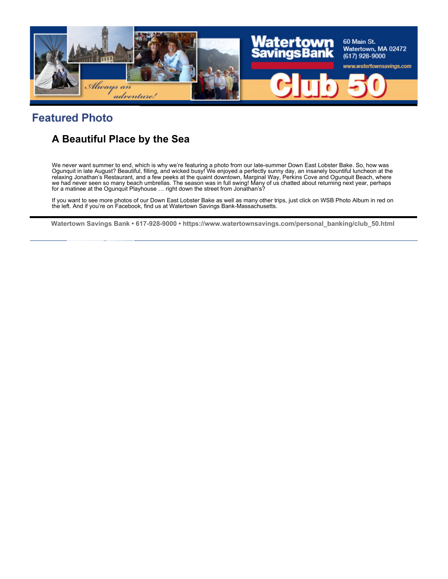

## **Featured Photo**

## **A Beautiful Place by the Sea**

We never want summer to end, which is why we're featuring a photo from our late-summer Down East Lobster Bake. So, how was Ogunquit in late August? Beautiful, filling, and wicked busy! We enjoyed a perfectly sunny day, an insanely bountiful luncheon at the relaxing Jonathan's Restaurant, and a few peeks at the quaint downtown, Marginal Way, Perkins Cove and Ogunquit Beach, where we had never seen so many beach umbrellas. The season was in full swing! Many of us chatted about returning next year, perhaps for a matinee at the Ogunquit Playhouse ... right down the street from Jonathan's?

If you want to see more photos of our Down East Lobster Bake as well as many other trips, just click on WSB Photo Album in red on the left. And if you're on Facebook, find us at Watertown Savings Bank-Massachusetts.